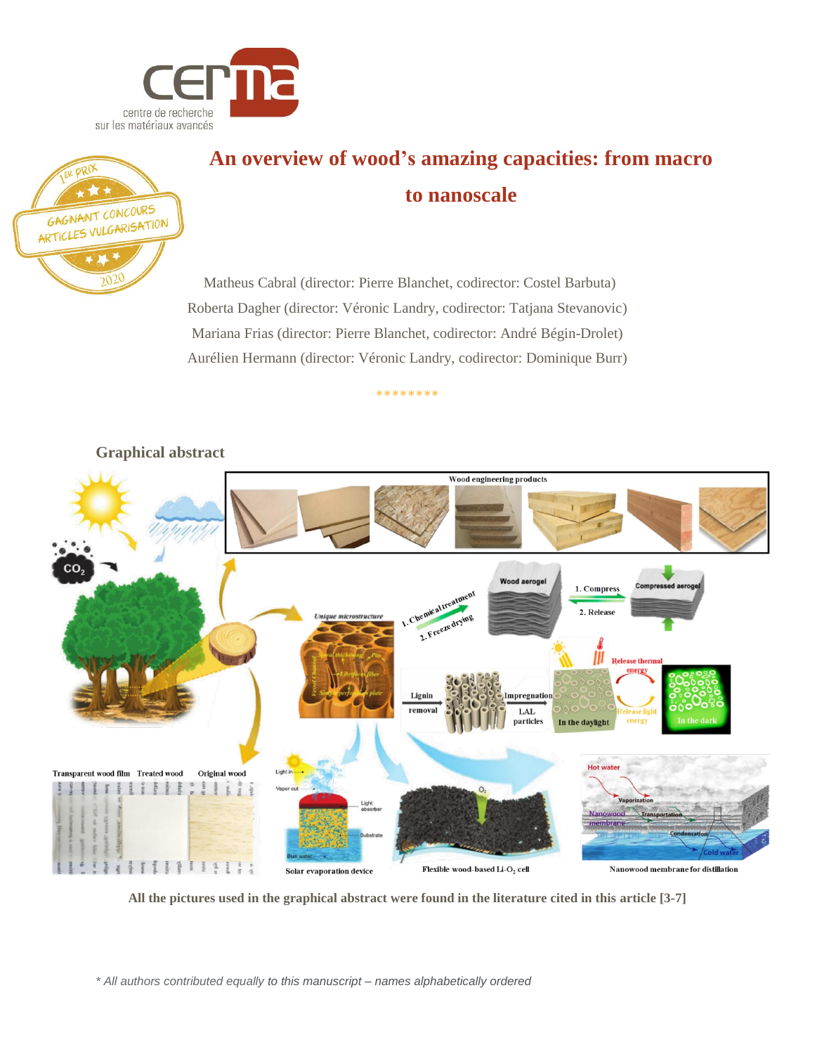



# **An overview of wood's amazing capacities: from macro to nanoscale**

Matheus Cabral (director: Pierre Blanchet, codirector: Costel Barbuta) Roberta Dagher (director: Véronic Landry, codirector: Tatjana Stevanovic) Mariana Frias (director: Pierre Blanchet, codirector: André Bégin-Drolet) Aurélien Hermann (director: Véronic Landry, codirector: Dominique Burr)

\*\*\*\*\*\*\*\*

# **Graphical abstract**



**All the pictures used in the graphical abstract were found in the literature cited in this article [3-7]**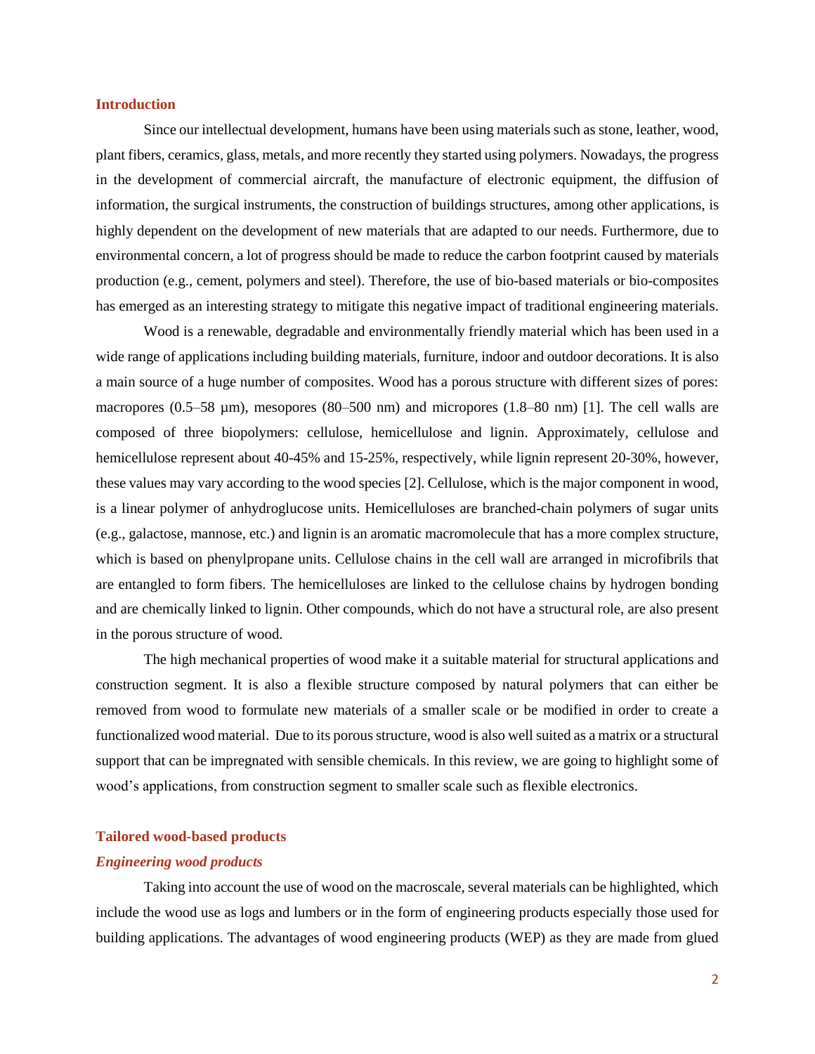#### **Introduction**

Since our intellectual development, humans have been using materials such as stone, leather, wood, plant fibers, ceramics, glass, metals, and more recently they started using polymers. Nowadays, the progress in the development of commercial aircraft, the manufacture of electronic equipment, the diffusion of information, the surgical instruments, the construction of buildings structures, among other applications, is highly dependent on the development of new materials that are adapted to our needs. Furthermore, due to environmental concern, a lot of progress should be made to reduce the carbon footprint caused by materials production (e.g., cement, polymers and steel). Therefore, the use of bio-based materials or bio-composites has emerged as an interesting strategy to mitigate this negative impact of traditional engineering materials.

Wood is a renewable, degradable and environmentally friendly material which has been used in a wide range of applications including building materials, furniture, indoor and outdoor decorations. It is also a main source of a huge number of composites. Wood has a porous structure with different sizes of pores: macropores ( $0.5-58 \mu m$ ), mesopores ( $80-500 \text{ nm}$ ) and micropores ( $1.8-80 \text{ nm}$ ) [1]. The cell walls are composed of three biopolymers: cellulose, hemicellulose and lignin. Approximately, cellulose and hemicellulose represent about 40-45% and 15-25%, respectively, while lignin represent 20-30%, however, these values may vary according to the wood species [2]. Cellulose, which is the major component in wood, is a linear polymer of anhydroglucose units. Hemicelluloses are branched-chain polymers of sugar units (e.g., galactose, mannose, etc.) and lignin is an aromatic macromolecule that has a more complex structure, which is based on phenylpropane units. Cellulose chains in the cell wall are arranged in microfibrils that are entangled to form fibers. The hemicelluloses are linked to the cellulose chains by hydrogen bonding and are chemically linked to lignin. Other compounds, which do not have a structural role, are also present in the porous structure of wood.

The high mechanical properties of wood make it a suitable material for structural applications and construction segment. It is also a flexible structure composed by natural polymers that can either be removed from wood to formulate new materials of a smaller scale or be modified in order to create a functionalized wood material. Due to its porous structure, wood is also well suited as a matrix or a structural support that can be impregnated with sensible chemicals. In this review, we are going to highlight some of wood's applications, from construction segment to smaller scale such as flexible electronics.

# **Tailored wood-based products**

# *Engineering wood products*

Taking into account the use of wood on the macroscale, several materials can be highlighted, which include the wood use as logs and lumbers or in the form of engineering products especially those used for building applications. The advantages of wood engineering products (WEP) as they are made from glued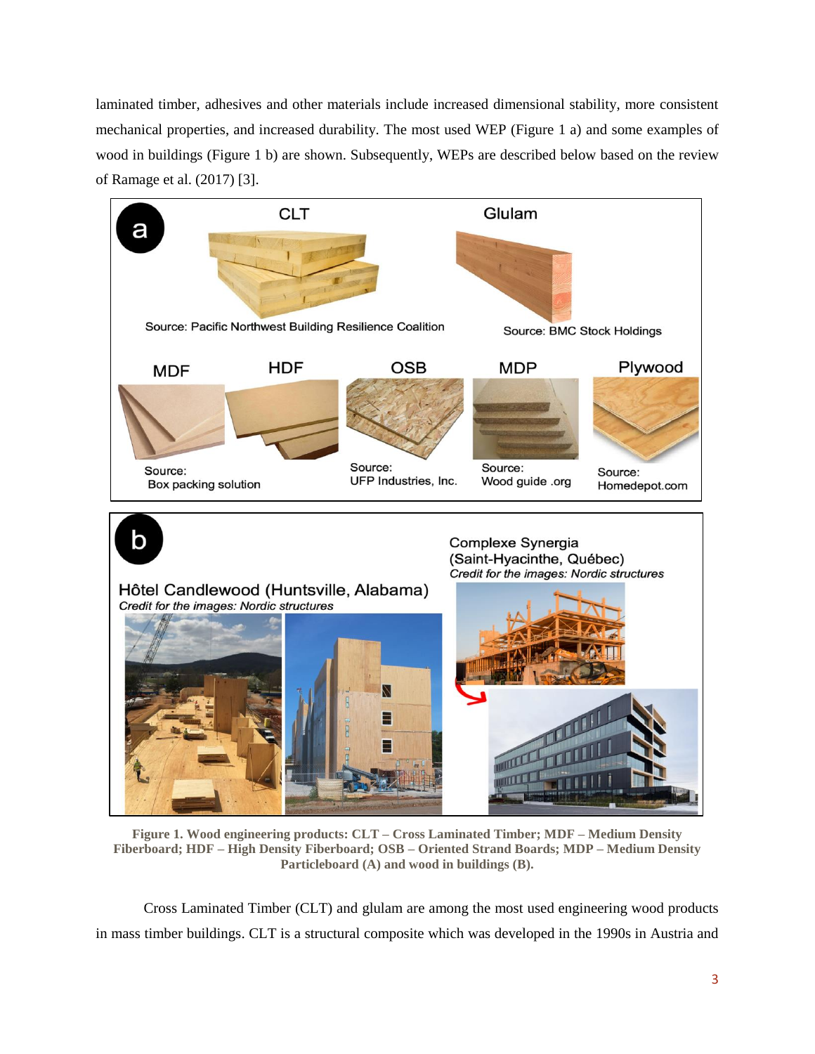laminated timber, adhesives and other materials include increased dimensional stability, more consistent mechanical properties, and increased durability. The most used WEP (Figure 1 a) and some examples of wood in buildings (Figure 1 b) are shown. Subsequently, WEPs are described below based on the review of Ramage et al. (2017) [3].



**Figure 1. Wood engineering products: CLT – Cross Laminated Timber; MDF – Medium Density Fiberboard; HDF – High Density Fiberboard; OSB – Oriented Strand Boards; MDP – Medium Density Particleboard (A) and wood in buildings (B).** 

Cross Laminated Timber (CLT) and glulam are among the most used engineering wood products in mass timber buildings. CLT is a structural composite which was developed in the 1990s in Austria and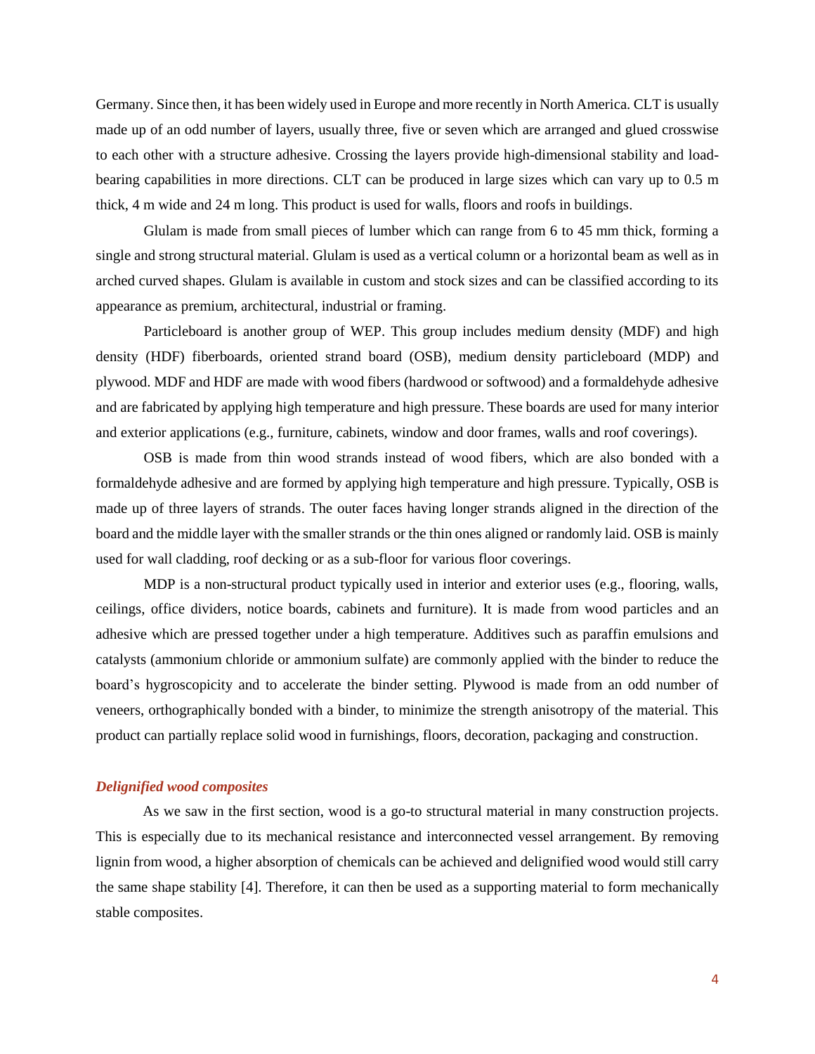Germany. Since then, it has been widely used in Europe and more recently in North America. CLT is usually made up of an odd number of layers, usually three, five or seven which are arranged and glued crosswise to each other with a structure adhesive. Crossing the layers provide high-dimensional stability and loadbearing capabilities in more directions. CLT can be produced in large sizes which can vary up to 0.5 m thick, 4 m wide and 24 m long. This product is used for walls, floors and roofs in buildings.

Glulam is made from small pieces of lumber which can range from 6 to 45 mm thick, forming a single and strong structural material. Glulam is used as a vertical column or a horizontal beam as well as in arched curved shapes. Glulam is available in custom and stock sizes and can be classified according to its appearance as premium, architectural, industrial or framing.

Particleboard is another group of WEP. This group includes medium density (MDF) and high density (HDF) fiberboards, oriented strand board (OSB), medium density particleboard (MDP) and plywood. MDF and HDF are made with wood fibers (hardwood or softwood) and a formaldehyde adhesive and are fabricated by applying high temperature and high pressure. These boards are used for many interior and exterior applications (e.g., furniture, cabinets, window and door frames, walls and roof coverings).

OSB is made from thin wood strands instead of wood fibers, which are also bonded with a formaldehyde adhesive and are formed by applying high temperature and high pressure. Typically, OSB is made up of three layers of strands. The outer faces having longer strands aligned in the direction of the board and the middle layer with the smaller strands or the thin ones aligned or randomly laid. OSB is mainly used for wall cladding, roof decking or as a sub-floor for various floor coverings.

MDP is a non-structural product typically used in interior and exterior uses (e.g., flooring, walls, ceilings, office dividers, notice boards, cabinets and furniture). It is made from wood particles and an adhesive which are pressed together under a high temperature. Additives such as paraffin emulsions and catalysts (ammonium chloride or ammonium sulfate) are commonly applied with the binder to reduce the board's hygroscopicity and to accelerate the binder setting. Plywood is made from an odd number of veneers, orthographically bonded with a binder, to minimize the strength anisotropy of the material. This product can partially replace solid wood in furnishings, floors, decoration, packaging and construction.

## *Delignified wood composites*

As we saw in the first section, wood is a go-to structural material in many construction projects. This is especially due to its mechanical resistance and interconnected vessel arrangement. By removing lignin from wood, a higher absorption of chemicals can be achieved and delignified wood would still carry the same shape stability [4]. Therefore, it can then be used as a supporting material to form mechanically stable composites.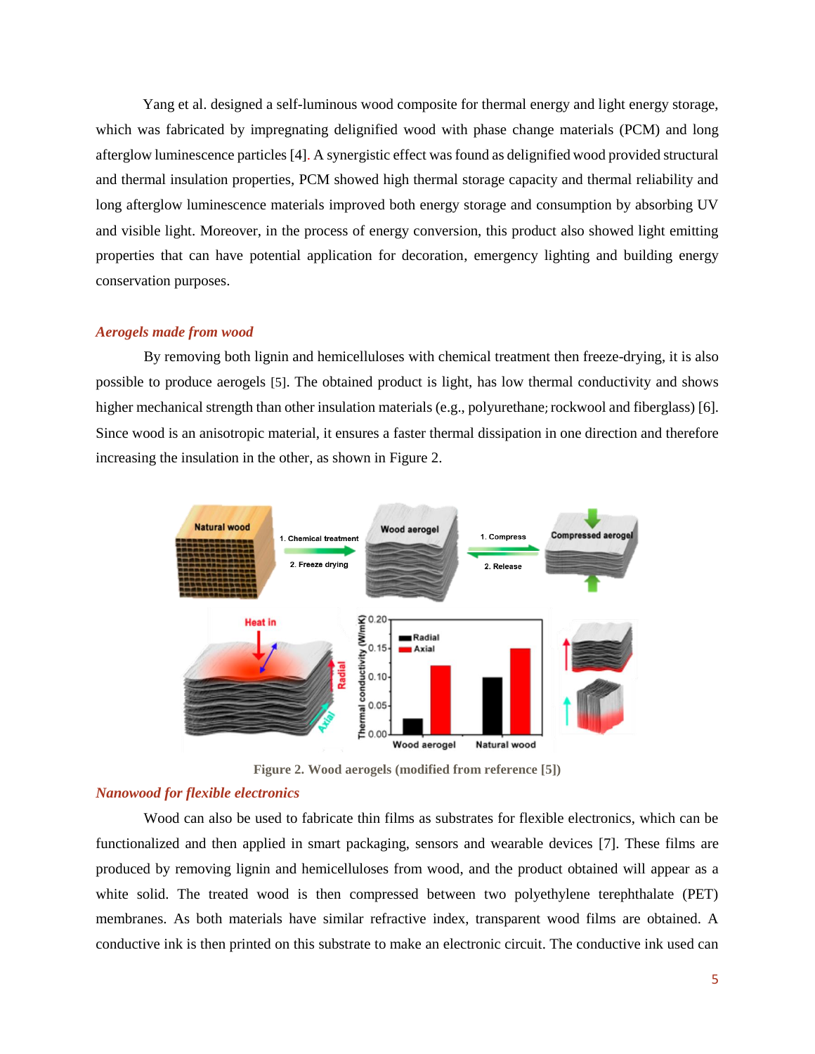Yang et al. designed a self-luminous wood composite for thermal energy and light energy storage, which was fabricated by impregnating delignified wood with phase change materials (PCM) and long afterglow luminescence particles [4]. A synergistic effect was found as delignified wood provided structural and thermal insulation properties, PCM showed high thermal storage capacity and thermal reliability and long afterglow luminescence materials improved both energy storage and consumption by absorbing UV and visible light. Moreover, in the process of energy conversion, this product also showed light emitting properties that can have potential application for decoration, emergency lighting and building energy conservation purposes.

# *Aerogels made from wood*

By removing both lignin and hemicelluloses with chemical treatment then freeze-drying, it is also possible to produce aerogels [5]. The obtained product is light, has low thermal conductivity and shows higher mechanical strength than other insulation materials (e.g., polyurethane; rockwool and fiberglass) [6]. Since wood is an anisotropic material, it ensures a faster thermal dissipation in one direction and therefore increasing the insulation in the other, as shown in Figure 2.



**Figure 2. Wood aerogels (modified from reference [5])**

#### *Nanowood for flexible electronics*

Wood can also be used to fabricate thin films as substrates for flexible electronics, which can be functionalized and then applied in smart packaging, sensors and wearable devices [7]. These films are produced by removing lignin and hemicelluloses from wood, and the product obtained will appear as a white solid. The treated wood is then compressed between two polyethylene terephthalate (PET) membranes. As both materials have similar refractive index, transparent wood films are obtained. A conductive ink is then printed on this substrate to make an electronic circuit. The conductive ink used can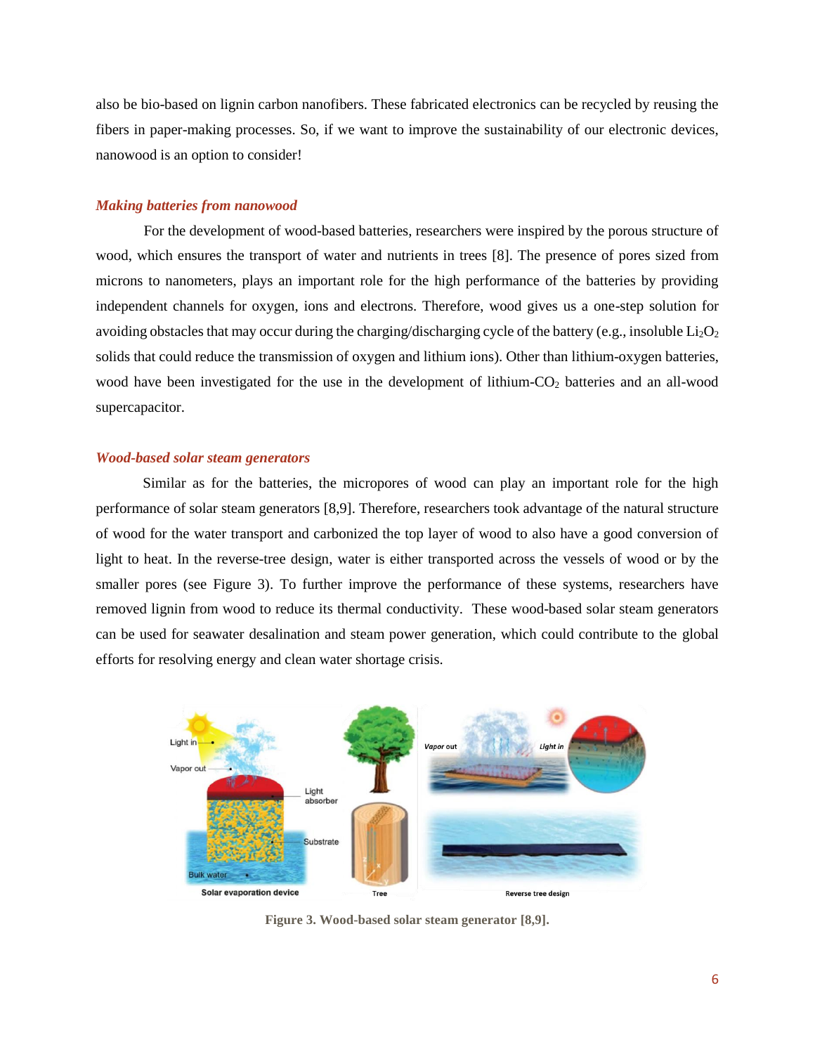also be bio-based on lignin carbon nanofibers. These fabricated electronics can be recycled by reusing the fibers in paper-making processes. So, if we want to improve the sustainability of our electronic devices, nanowood is an option to consider!

#### *Making batteries from nanowood*

For the development of wood-based batteries, researchers were inspired by the porous structure of wood, which ensures the transport of water and nutrients in trees [8]. The presence of pores sized from microns to nanometers, plays an important role for the high performance of the batteries by providing independent channels for oxygen, ions and electrons. Therefore, wood gives us a one-step solution for avoiding obstacles that may occur during the charging/discharging cycle of the battery (e.g., insoluble  $Li_2O_2$ ) solids that could reduce the transmission of oxygen and lithium ions). Other than lithium-oxygen batteries, wood have been investigated for the use in the development of lithium-CO<sub>2</sub> batteries and an all-wood supercapacitor.

#### *Wood-based solar steam generators*

Similar as for the batteries, the micropores of wood can play an important role for the high performance of solar steam generators [8,9]. Therefore, researchers took advantage of the natural structure of wood for the water transport and carbonized the top layer of wood to also have a good conversion of light to heat. In the reverse-tree design, water is either transported across the vessels of wood or by the smaller pores (see Figure 3). To further improve the performance of these systems, researchers have removed lignin from wood to reduce its thermal conductivity. These wood-based solar steam generators can be used for seawater desalination and steam power generation, which could contribute to the global efforts for resolving energy and clean water shortage crisis.



**Figure 3. Wood-based solar steam generator [8,9].**